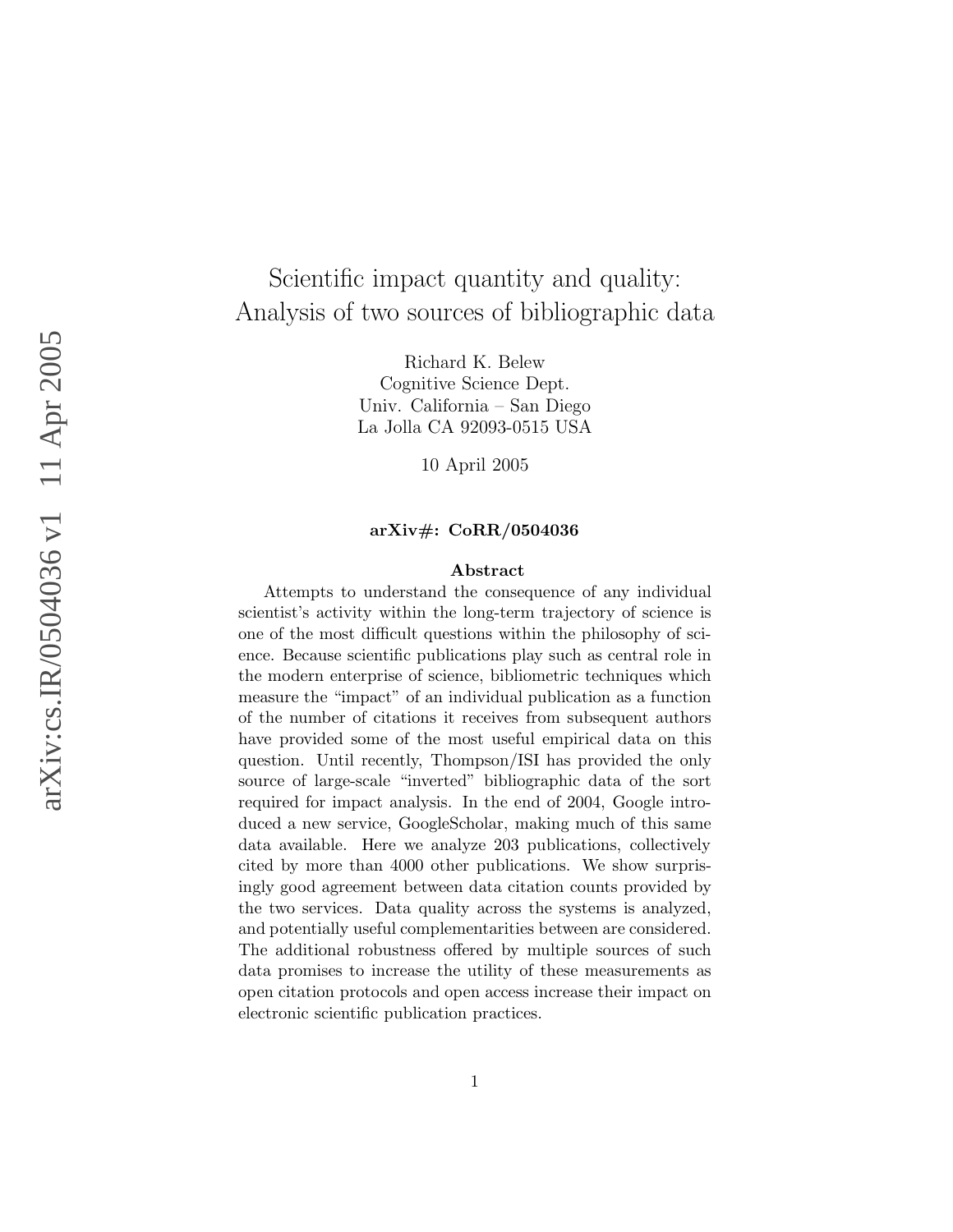# Scientific impact quantity and quality: Analysis of two sources of bibliographic data

Richard K. Belew Cognitive Science Dept. Univ. California – San Diego La Jolla CA 92093-0515 USA

10 April 2005

#### arXiv#: CoRR/0504036

#### Abstract

Attempts to understand the consequence of any individual scientist's activity within the long-term trajectory of science is one of the most difficult questions within the philosophy of science. Because scientific publications play such as central role in the modern enterprise of science, bibliometric techniques which measure the "impact" of an individual publication as a function of the number of citations it receives from subsequent authors have provided some of the most useful empirical data on this question. Until recently, Thompson/ISI has provided the only source of large-scale "inverted" bibliographic data of the sort required for impact analysis. In the end of 2004, Google introduced a new service, GoogleScholar, making much of this same data available. Here we analyze 203 publications, collectively cited by more than 4000 other publications. We show surprisingly good agreement between data citation counts provided by the two services. Data quality across the systems is analyzed, and potentially useful complementarities between are considered. The additional robustness offered by multiple sources of such data promises to increase the utility of these measurements as open citation protocols and open access increase their impact on electronic scientific publication practices.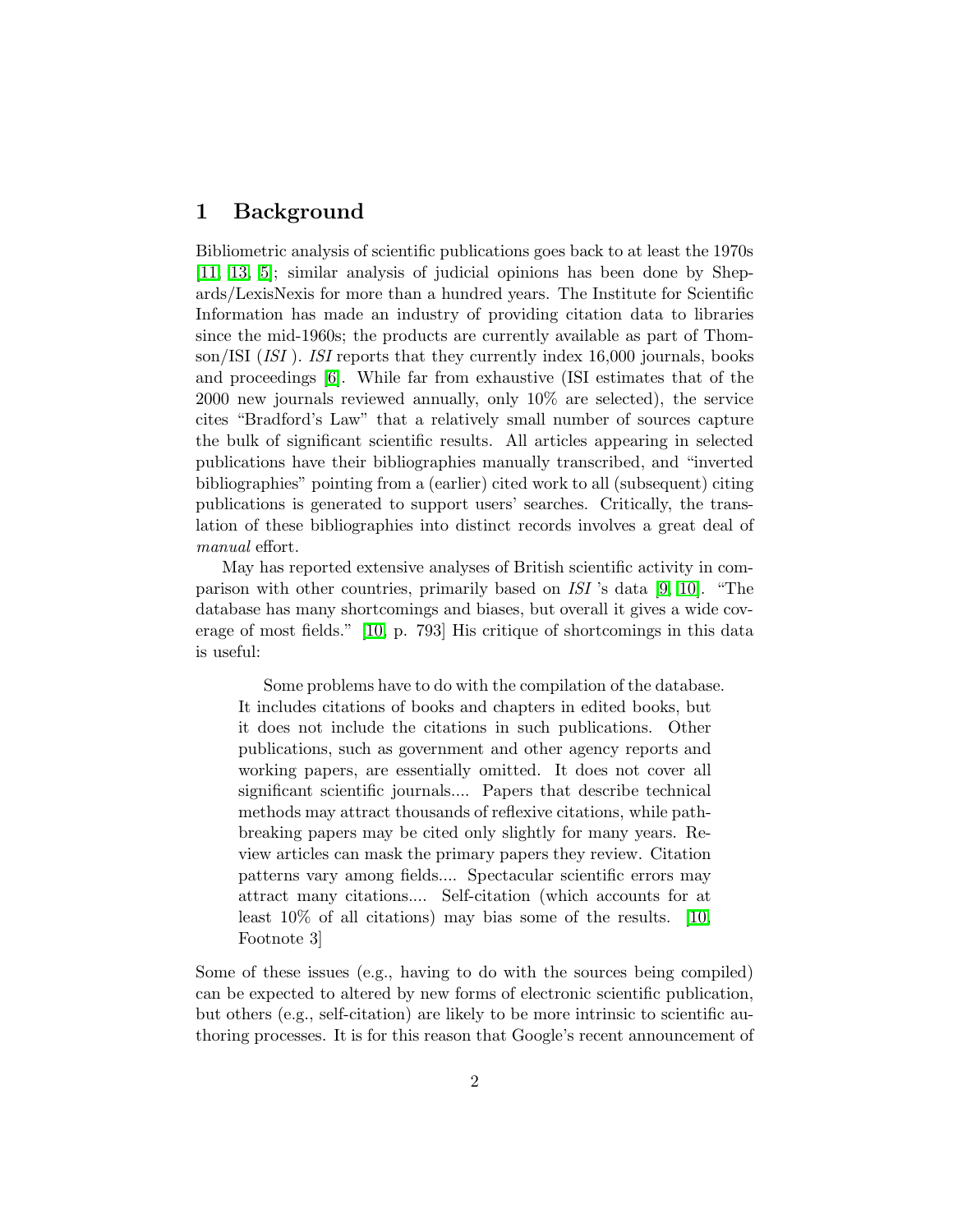#### 1 Background

Bibliometric analysis of scientific publications goes back to at least the 1970s [\[11,](#page-11-0) [13,](#page-11-1) [5\]](#page-11-2); similar analysis of judicial opinions has been done by Shepards/LexisNexis for more than a hundred years. The Institute for Scientific Information has made an industry of providing citation data to libraries since the mid-1960s; the products are currently available as part of Thomson/ISI (ISI). ISI reports that they currently index 16,000 journals, books and proceedings [\[6\]](#page-11-3). While far from exhaustive (ISI estimates that of the 2000 new journals reviewed annually, only 10% are selected), the service cites "Bradford's Law" that a relatively small number of sources capture the bulk of significant scientific results. All articles appearing in selected publications have their bibliographies manually transcribed, and "inverted bibliographies" pointing from a (earlier) cited work to all (subsequent) citing publications is generated to support users' searches. Critically, the translation of these bibliographies into distinct records involves a great deal of manual effort.

May has reported extensive analyses of British scientific activity in comparison with other countries, primarily based on ISI 's data [\[9,](#page-11-4) [10\]](#page-11-5). "The database has many shortcomings and biases, but overall it gives a wide coverage of most fields." [\[10,](#page-11-5) p. 793] His critique of shortcomings in this data is useful:

Some problems have to do with the compilation of the database. It includes citations of books and chapters in edited books, but it does not include the citations in such publications. Other publications, such as government and other agency reports and working papers, are essentially omitted. It does not cover all significant scientific journals.... Papers that describe technical methods may attract thousands of reflexive citations, while pathbreaking papers may be cited only slightly for many years. Review articles can mask the primary papers they review. Citation patterns vary among fields.... Spectacular scientific errors may attract many citations.... Self-citation (which accounts for at least 10% of all citations) may bias some of the results. [\[10,](#page-11-5) Footnote 3]

Some of these issues (e.g., having to do with the sources being compiled) can be expected to altered by new forms of electronic scientific publication, but others (e.g., self-citation) are likely to be more intrinsic to scientific authoring processes. It is for this reason that Google's recent announcement of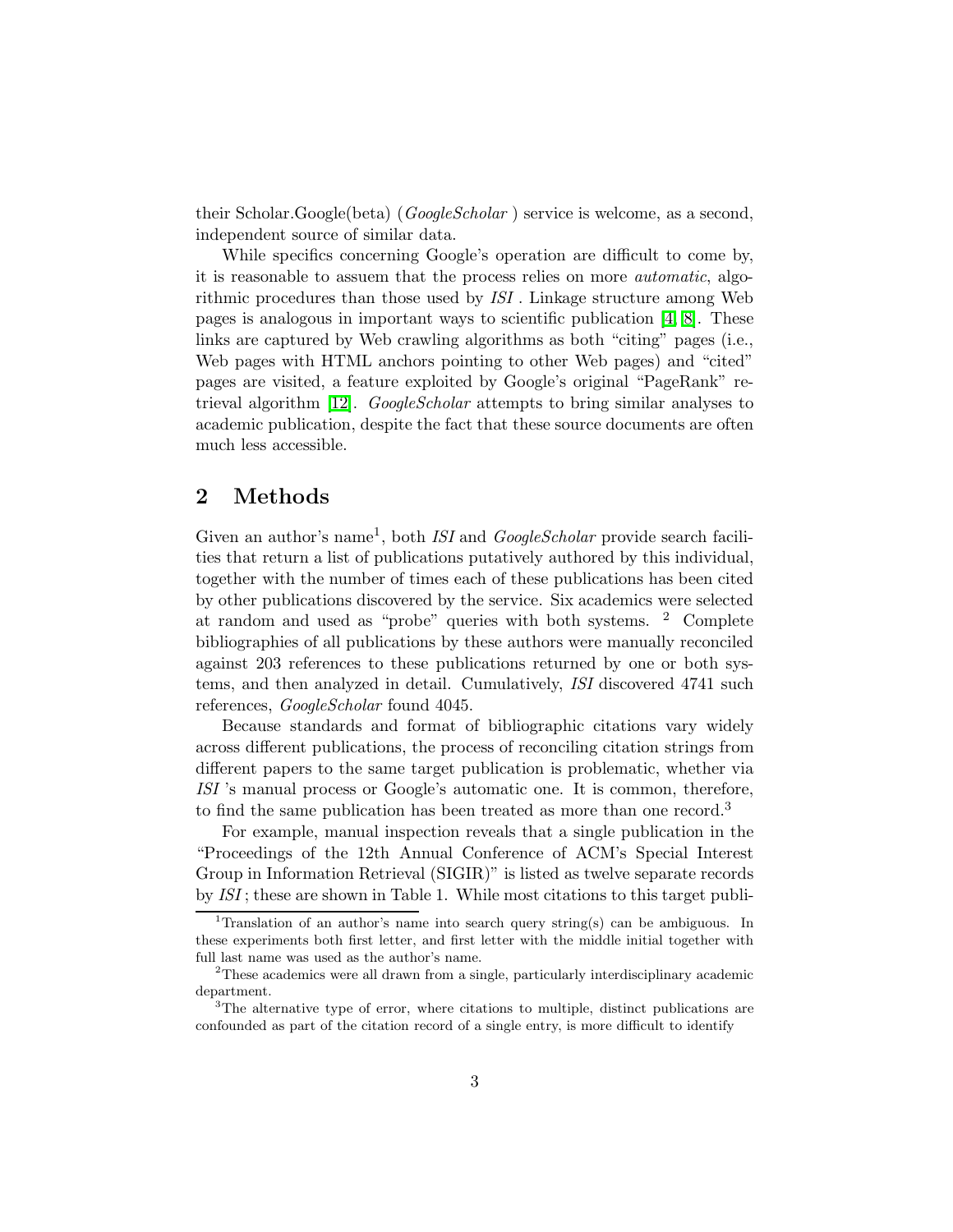their Scholar.Google(beta) (*GoogleScholar*) service is welcome, as a second, independent source of similar data.

While specifics concerning Google's operation are difficult to come by, it is reasonable to assuem that the process relies on more automatic, algorithmic procedures than those used by ISI . Linkage structure among Web pages is analogous in important ways to scientific publication  $[4, 8]$  $[4, 8]$ . These links are captured by Web crawling algorithms as both "citing" pages (i.e., Web pages with HTML anchors pointing to other Web pages) and "cited" pages are visited, a feature exploited by Google's original "PageRank" re-trieval algorithm [\[12\]](#page-11-8). GoogleScholar attempts to bring similar analyses to academic publication, despite the fact that these source documents are often much less accessible.

## 2 Methods

Given an author's name<sup>1</sup>, both *ISI* and  $GoogleScholar$  provide search facilities that return a list of publications putatively authored by this individual, together with the number of times each of these publications has been cited by other publications discovered by the service. Six academics were selected at random and used as "probe" queries with both systems. <sup>2</sup> Complete bibliographies of all publications by these authors were manually reconciled against 203 references to these publications returned by one or both systems, and then analyzed in detail. Cumulatively, ISI discovered 4741 such references, *GoogleScholar* found 4045.

Because standards and format of bibliographic citations vary widely across different publications, the process of reconciling citation strings from different papers to the same target publication is problematic, whether via ISI 's manual process or Google's automatic one. It is common, therefore, to find the same publication has been treated as more than one record.<sup>3</sup>

For example, manual inspection reveals that a single publication in the "Proceedings of the 12th Annual Conference of ACM's Special Interest Group in Information Retrieval (SIGIR)" is listed as twelve separate records by ISI ; these are shown in Table 1. While most citations to this target publi-

<sup>&</sup>lt;sup>1</sup>Translation of an author's name into search query string(s) can be ambiguous. In these experiments both first letter, and first letter with the middle initial together with full last name was used as the author's name.

<sup>2</sup>These academics were all drawn from a single, particularly interdisciplinary academic department.

<sup>&</sup>lt;sup>3</sup>The alternative type of error, where citations to multiple, distinct publications are confounded as part of the citation record of a single entry, is more difficult to identify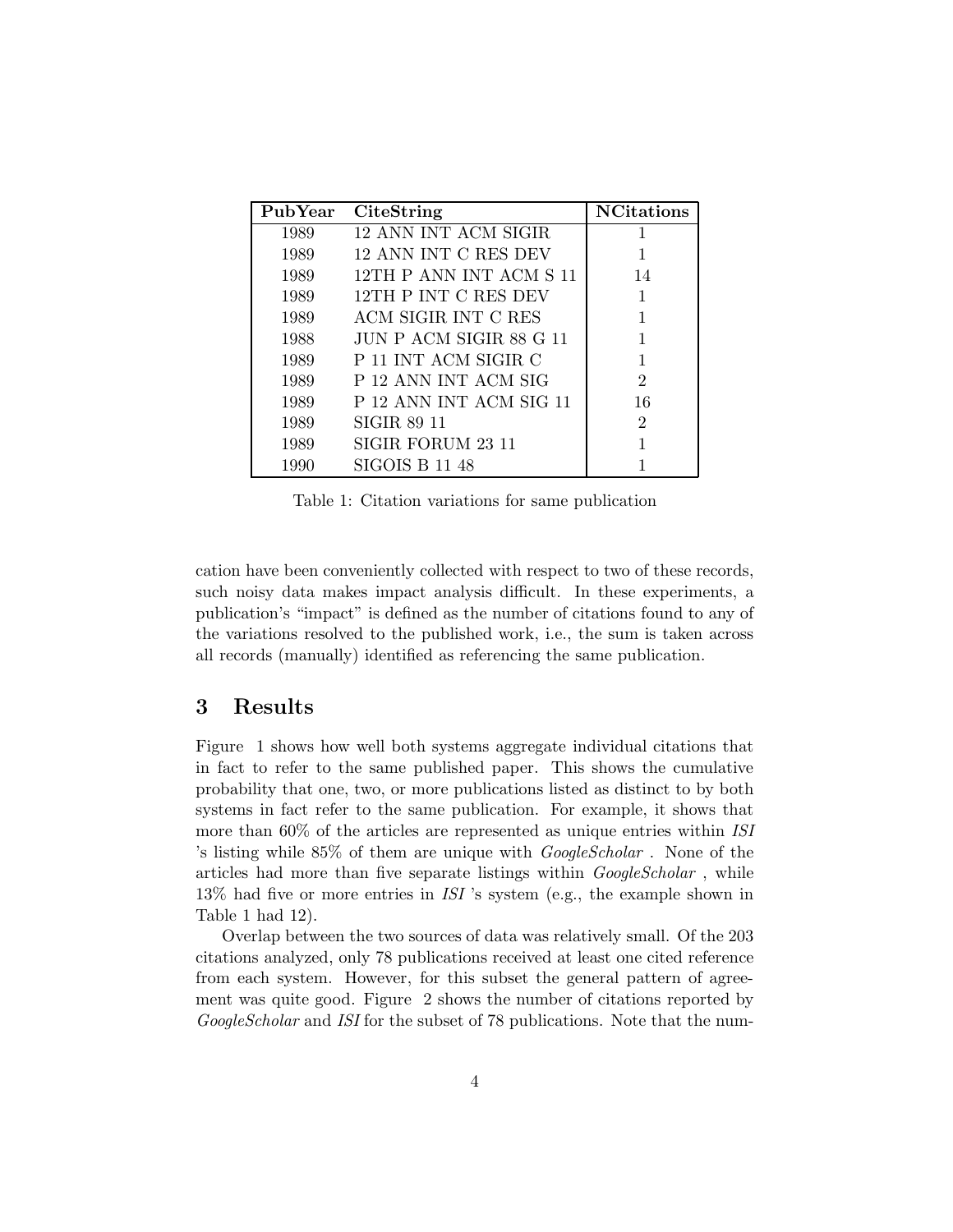| PubYear | <b>CiteString</b>       | <b>NCitations</b>           |
|---------|-------------------------|-----------------------------|
| 1989    | 12 ANN INT ACM SIGIR    |                             |
| 1989    | 12 ANN INT C RES DEV    |                             |
| 1989    | 12TH P ANN INT ACM S 11 | 14                          |
| 1989    | 12TH P INT C RES DEV    | 1                           |
| 1989    | ACM SIGIR INT C RES     |                             |
| 1988    | JUN P ACM SIGIR 88 G 11 |                             |
| 1989    | P 11 INT ACM SIGIR C    |                             |
| 1989    | P 12 ANN INT ACM SIG    | $\mathcal{D}_{\mathcal{L}}$ |
| 1989    | P 12 ANN INT ACM SIG 11 | 16                          |
| 1989    | SIGIR 89 11             | 2                           |
| 1989    | SIGIR FORUM 23 11       |                             |
| 1990    | <b>SIGOIS B 11 48</b>   |                             |

Table 1: Citation variations for same publication

cation have been conveniently collected with respect to two of these records, such noisy data makes impact analysis difficult. In these experiments, a publication's "impact" is defined as the number of citations found to any of the variations resolved to the published work, i.e., the sum is taken across all records (manually) identified as referencing the same publication.

#### 3 Results

Figure 1 shows how well both systems aggregate individual citations that in fact to refer to the same published paper. This shows the cumulative probability that one, two, or more publications listed as distinct to by both systems in fact refer to the same publication. For example, it shows that more than 60% of the articles are represented as unique entries within ISI 's listing while 85% of them are unique with GoogleScholar . None of the articles had more than five separate listings within *GoogleScholar*, while 13% had five or more entries in ISI 's system (e.g., the example shown in Table 1 had 12).

Overlap between the two sources of data was relatively small. Of the 203 citations analyzed, only 78 publications received at least one cited reference from each system. However, for this subset the general pattern of agreement was quite good. Figure 2 shows the number of citations reported by GoogleScholar and ISI for the subset of 78 publications. Note that the num-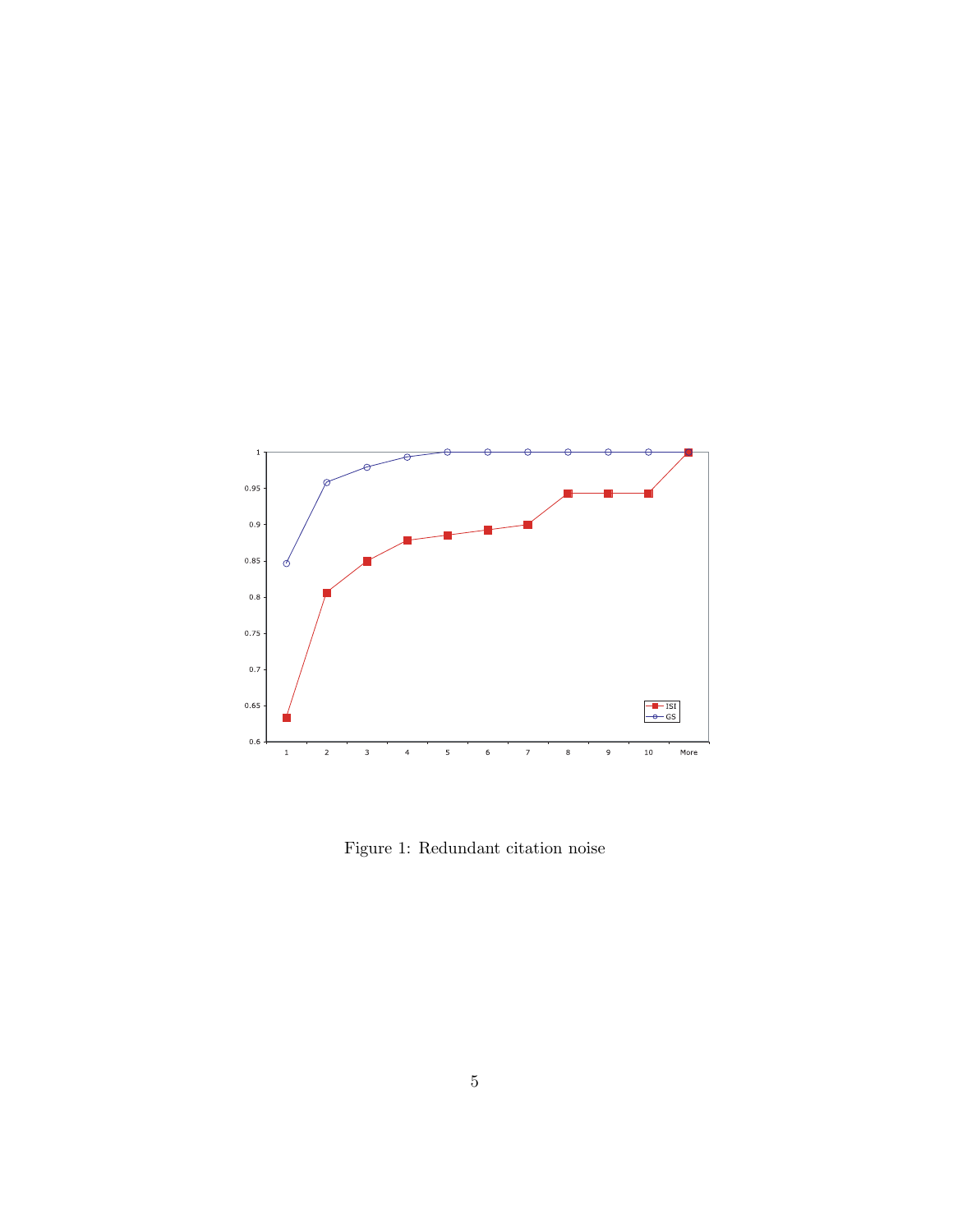

Figure 1: Redundant citation noise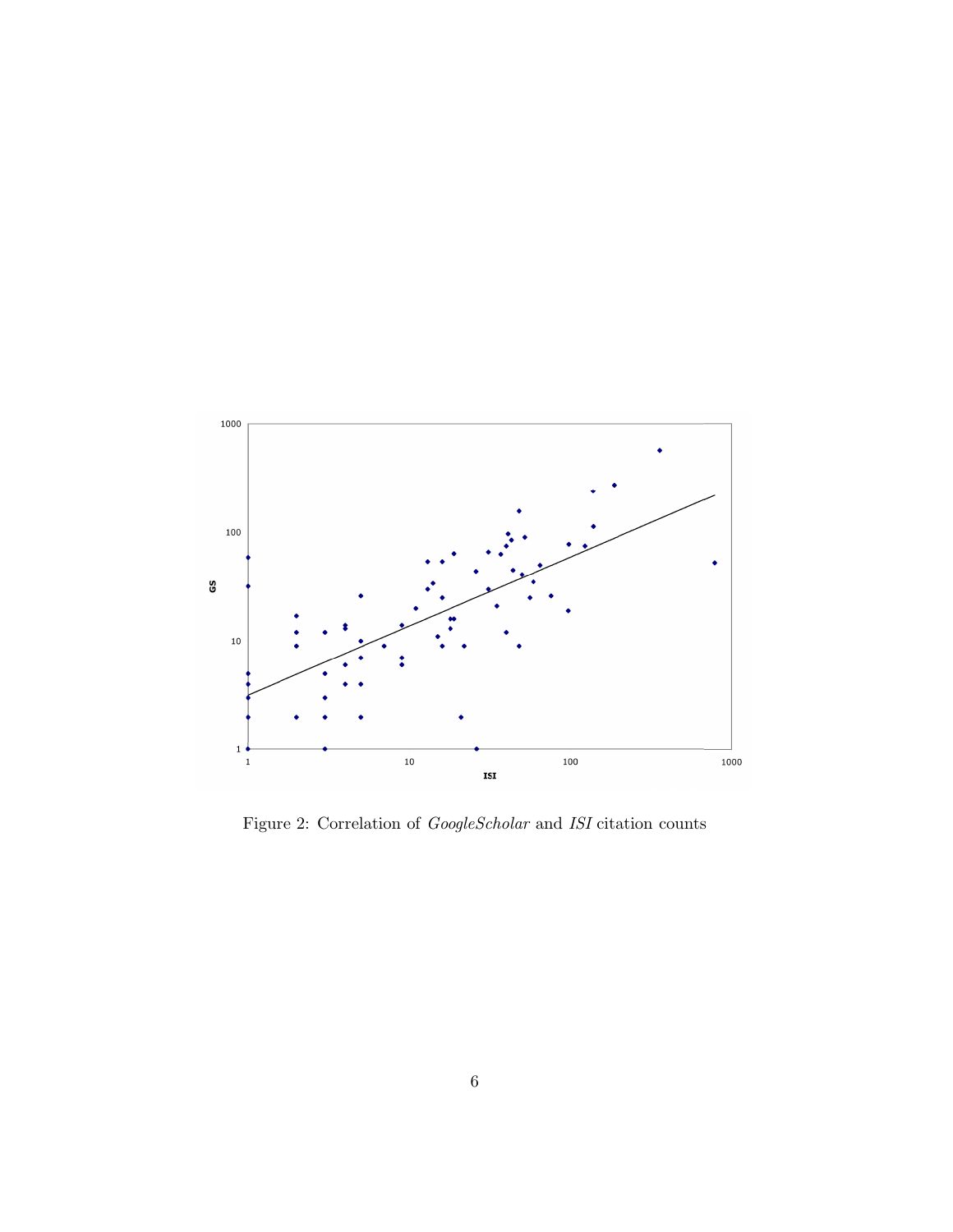

Figure 2: Correlation of  $GoogleScholar$  and ISI citation counts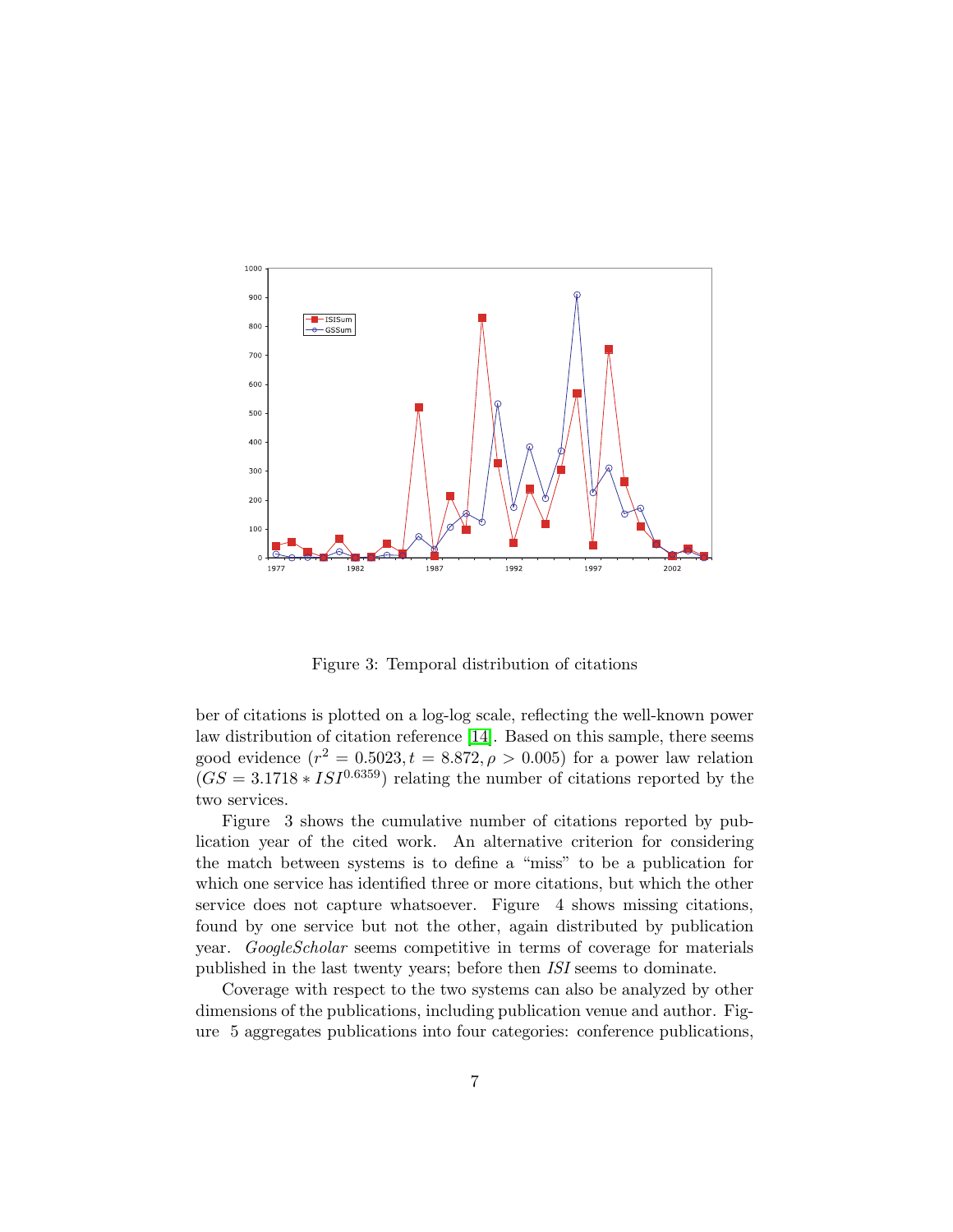

Figure 3: Temporal distribution of citations

ber of citations is plotted on a log-log scale, reflecting the well-known power law distribution of citation reference [\[14\]](#page-11-9). Based on this sample, there seems good evidence  $(r^2 = 0.5023, t = 8.872, \rho > 0.005)$  for a power law relation  $(GS = 3.1718 * ISI<sup>0.6359</sup>)$  relating the number of citations reported by the two services.

Figure 3 shows the cumulative number of citations reported by publication year of the cited work. An alternative criterion for considering the match between systems is to define a "miss" to be a publication for which one service has identified three or more citations, but which the other service does not capture whatsoever. Figure 4 shows missing citations, found by one service but not the other, again distributed by publication year. GoogleScholar seems competitive in terms of coverage for materials published in the last twenty years; before then ISI seems to dominate.

Coverage with respect to the two systems can also be analyzed by other dimensions of the publications, including publication venue and author. Figure 5 aggregates publications into four categories: conference publications,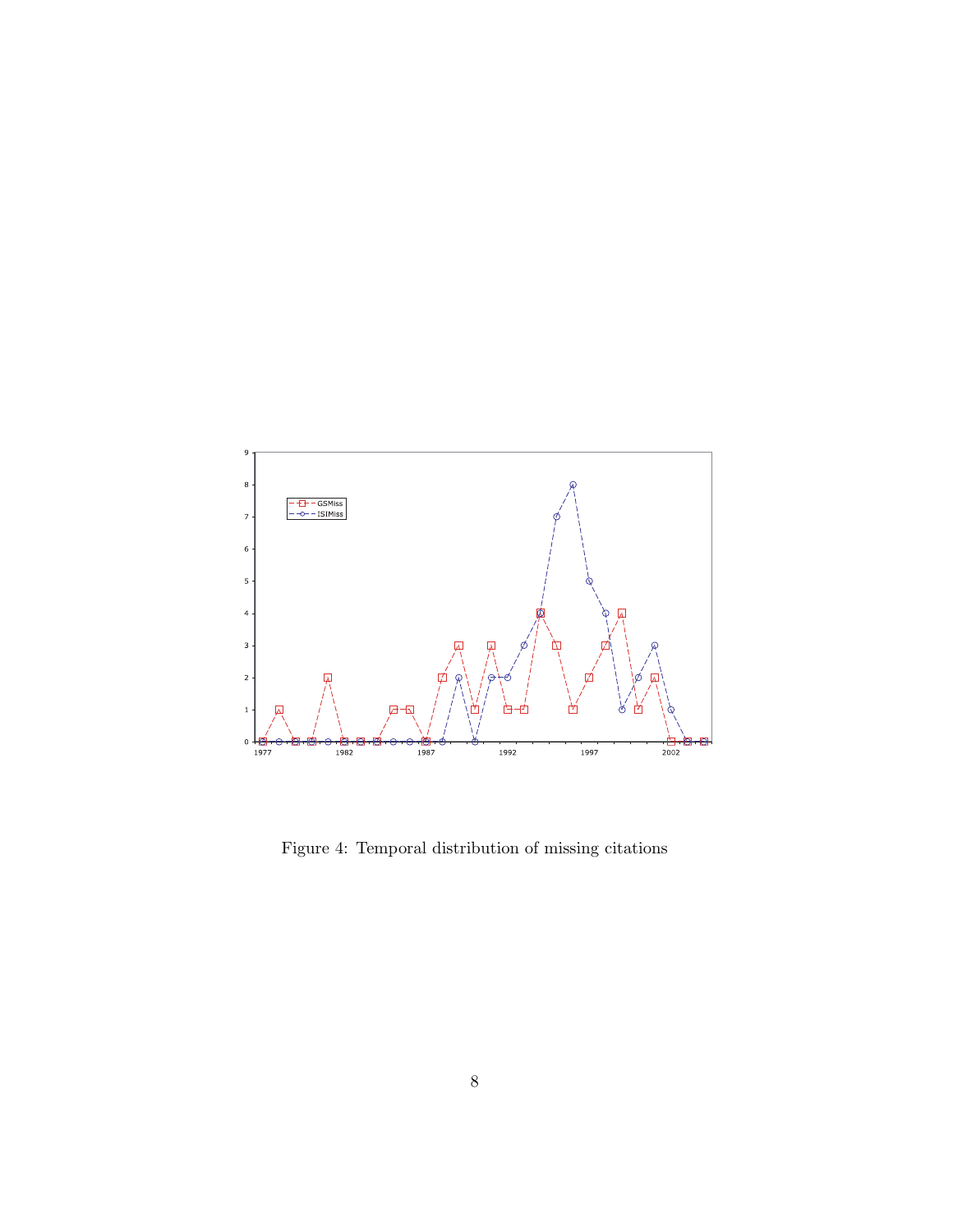

Figure 4: Temporal distribution of missing citations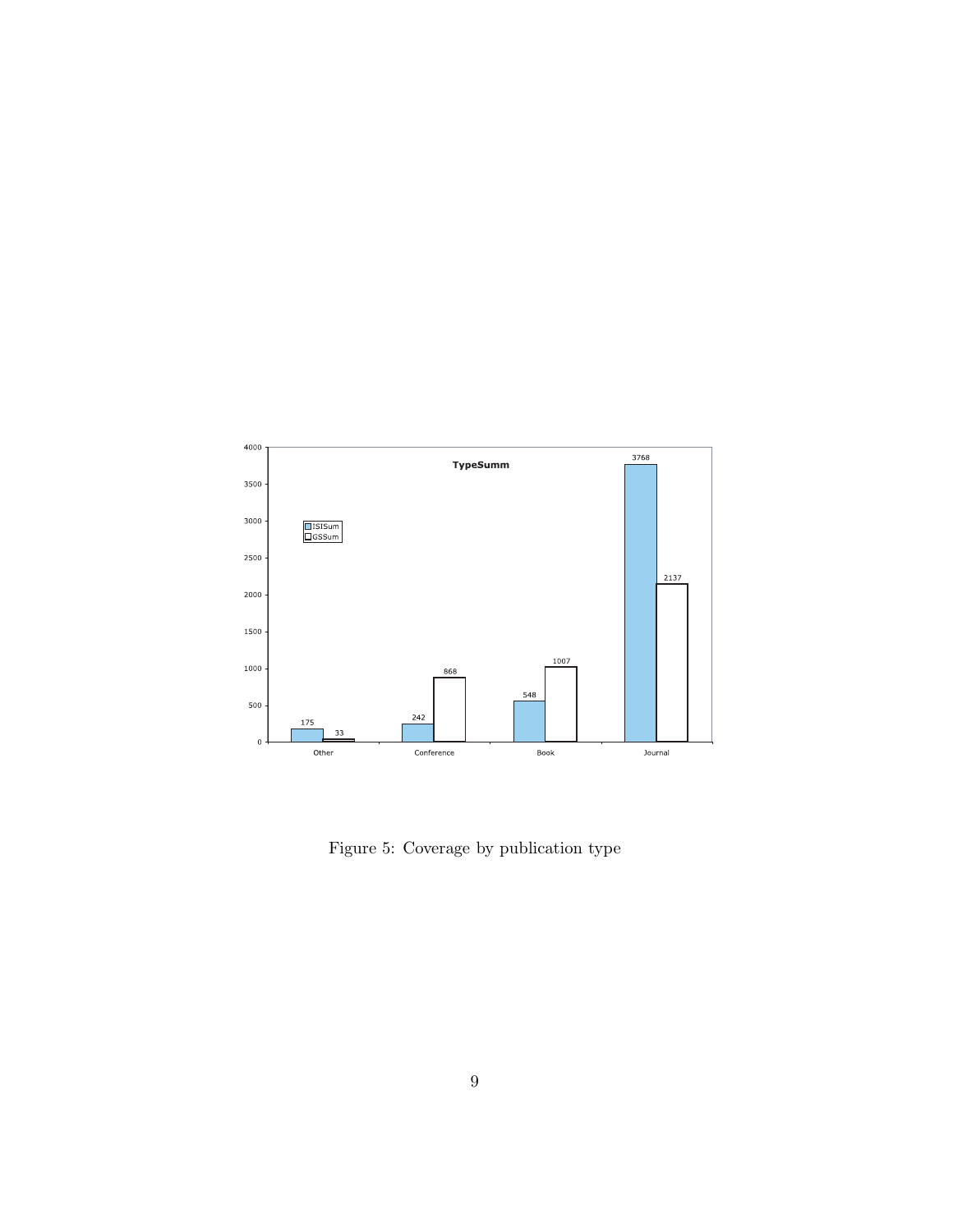

Figure 5: Coverage by publication type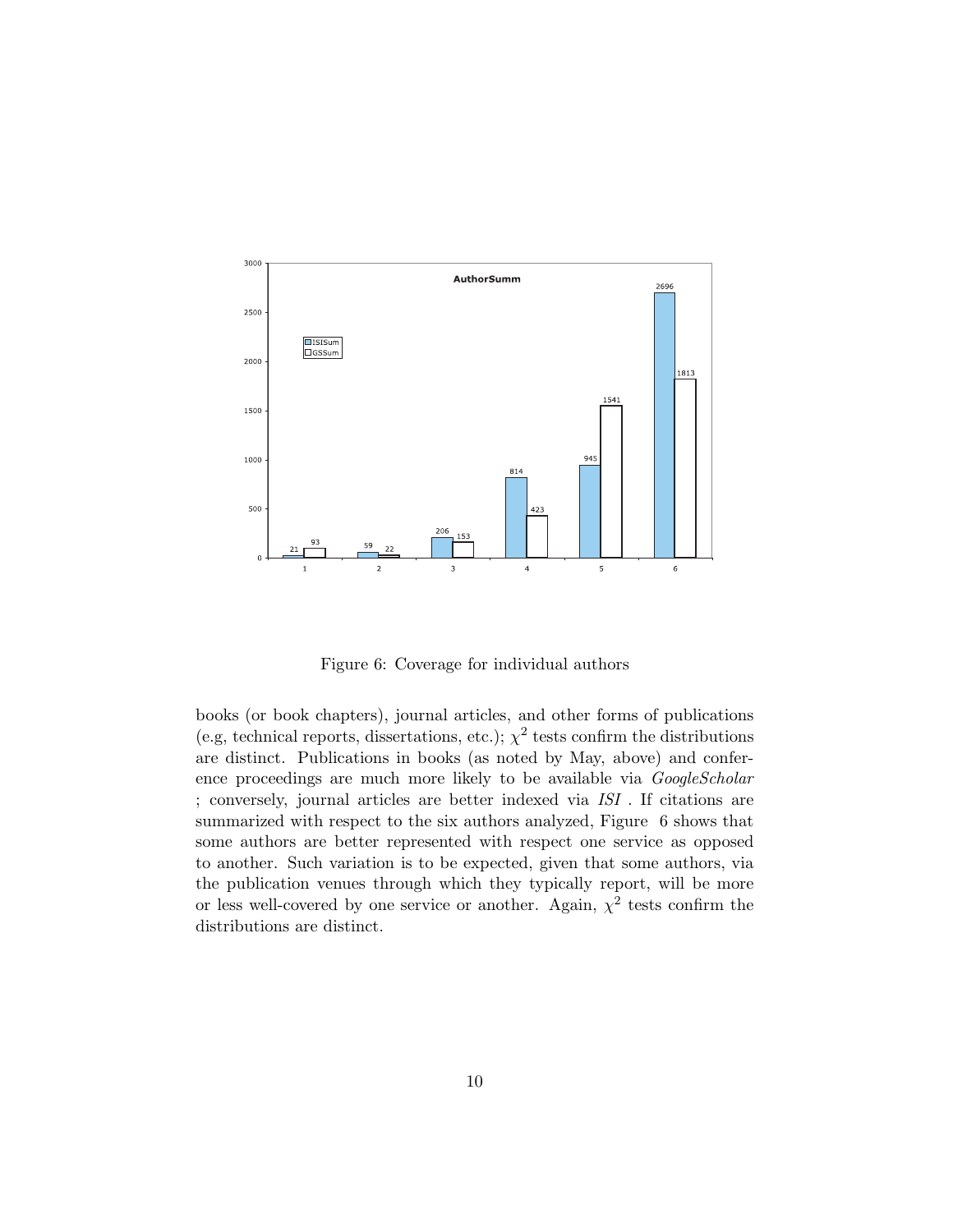

Figure 6: Coverage for individual authors

books (or book chapters), journal articles, and other forms of publications (e.g, technical reports, dissertations, etc.);  $\chi^2$  tests confirm the distributions are distinct. Publications in books (as noted by May, above) and conference proceedings are much more likely to be available via *GoogleScholar* ; conversely, journal articles are better indexed via ISI . If citations are summarized with respect to the six authors analyzed, Figure 6 shows that some authors are better represented with respect one service as opposed to another. Such variation is to be expected, given that some authors, via the publication venues through which they typically report, will be more or less well-covered by one service or another. Again,  $\chi^2$  tests confirm the distributions are distinct.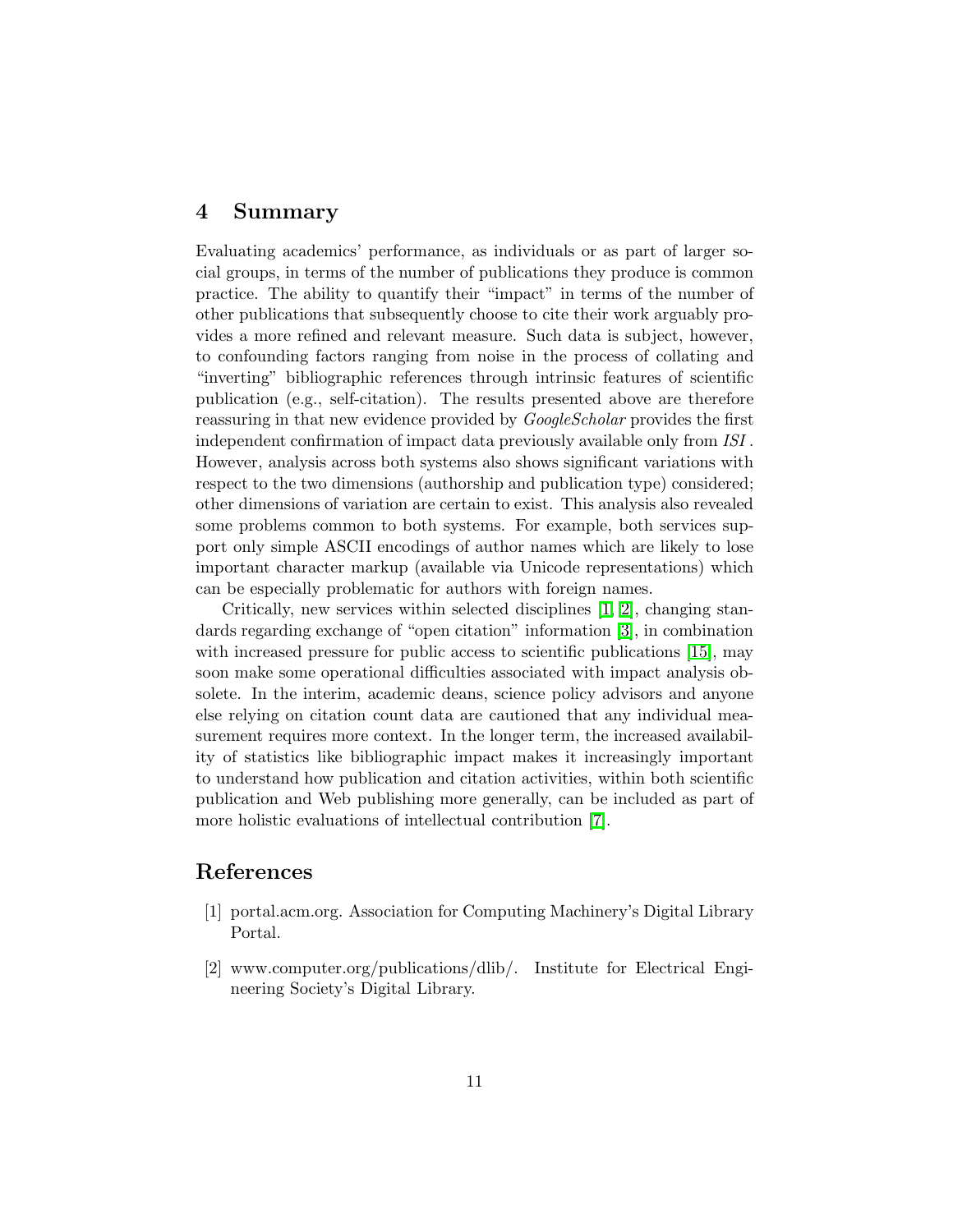#### 4 Summary

Evaluating academics' performance, as individuals or as part of larger social groups, in terms of the number of publications they produce is common practice. The ability to quantify their "impact" in terms of the number of other publications that subsequently choose to cite their work arguably provides a more refined and relevant measure. Such data is subject, however, to confounding factors ranging from noise in the process of collating and "inverting" bibliographic references through intrinsic features of scientific publication (e.g., self-citation). The results presented above are therefore reassuring in that new evidence provided by *GoogleScholar* provides the first independent confirmation of impact data previously available only from ISI . However, analysis across both systems also shows significant variations with respect to the two dimensions (authorship and publication type) considered; other dimensions of variation are certain to exist. This analysis also revealed some problems common to both systems. For example, both services support only simple ASCII encodings of author names which are likely to lose important character markup (available via Unicode representations) which can be especially problematic for authors with foreign names.

Critically, new services within selected disciplines [\[1,](#page-10-0) [2\]](#page-10-1), changing standards regarding exchange of "open citation" information [\[3\]](#page-11-10), in combination with increased pressure for public access to scientific publications [\[15\]](#page-11-11), may soon make some operational difficulties associated with impact analysis obsolete. In the interim, academic deans, science policy advisors and anyone else relying on citation count data are cautioned that any individual measurement requires more context. In the longer term, the increased availability of statistics like bibliographic impact makes it increasingly important to understand how publication and citation activities, within both scientific publication and Web publishing more generally, can be included as part of more holistic evaluations of intellectual contribution [\[7\]](#page-11-12).

## <span id="page-10-0"></span>References

- <span id="page-10-1"></span>[1] portal.acm.org. Association for Computing Machinery's Digital Library Portal.
- [2] www.computer.org/publications/dlib/. Institute for Electrical Engineering Society's Digital Library.